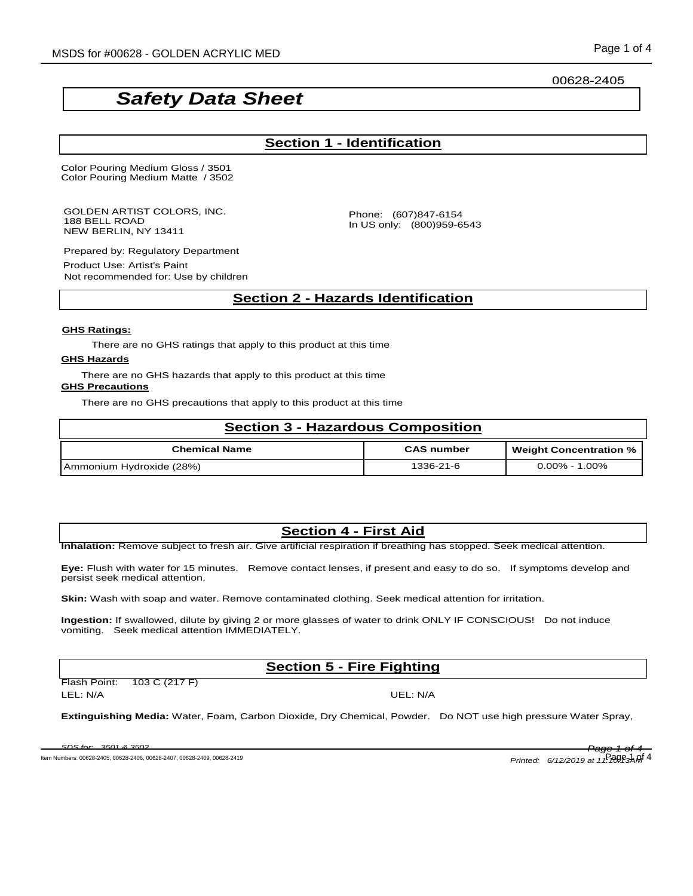00628-2405

# *Safety Data Sheet*

### **Section 1 - Identification**

Color Pouring Medium Gloss / 3501 Color Pouring Medium Matte / 3502

GOLDEN ARTIST COLORS, INC. 188 BELL ROAD NEW BERLIN, NY 13411

Phone: (607)847-6154 In US only: (800)959-6543

Prepared by: Regulatory Department

Product Use: Artist's Paint Not recommended for: Use by children

### **Section 2 - Hazards Identification**

#### **GHS Ratings:**

There are no GHS ratings that apply to this product at this time

#### **GHS Hazards**

There are no GHS hazards that apply to this product at this time

#### **GHS Precautions**

There are no GHS precautions that apply to this product at this time

| <b>Section 3 - Hazardous Composition</b> |                   |                               |  |
|------------------------------------------|-------------------|-------------------------------|--|
| <b>Chemical Name</b>                     | <b>CAS number</b> | <b>Weight Concentration %</b> |  |
| Ammonium Hydroxide (28%)                 | 1336-21-6         | $0.00\%$ - 1.00%              |  |

### **Section 4 - First Aid**

**Inhalation:** Remove subject to fresh air. Give artificial respiration if breathing has stopped. Seek medical attention.

**Eye:** Flush with water for 15 minutes. Remove contact lenses, if present and easy to do so. If symptoms develop and persist seek medical attention.

**Skin:** Wash with soap and water. Remove contaminated clothing. Seek medical attention for irritation.

**Ingestion:** If swallowed, dilute by giving 2 or more glasses of water to drink ONLY IF CONSCIOUS! Do not induce vomiting. Seek medical attention IMMEDIATELY.

### **Section 5 - Fire Fighting**

| Flash Point: | 103 C (217 F) |
|--------------|---------------|
| LEL: N/A     |               |

UEL: N/A

**Extinguishing Media:** Water, Foam, Carbon Dioxide, Dry Chemical, Powder. Do NOT use high pressure Water Spray,

*SDS for: 3501 & 3502 Page 1 of 4*

Item Numbers: 00628-2405, 00628-2406, 00628-2407, 00628-2409, 00628-2419

*Printed: 6/12/2019 at 11:*  $\frac{1}{10}$  $\frac{1}{20}$  $\frac{1}{9}$  $\frac{1}{3}$  $\frac{1}{9}$  $\frac{4}{4}$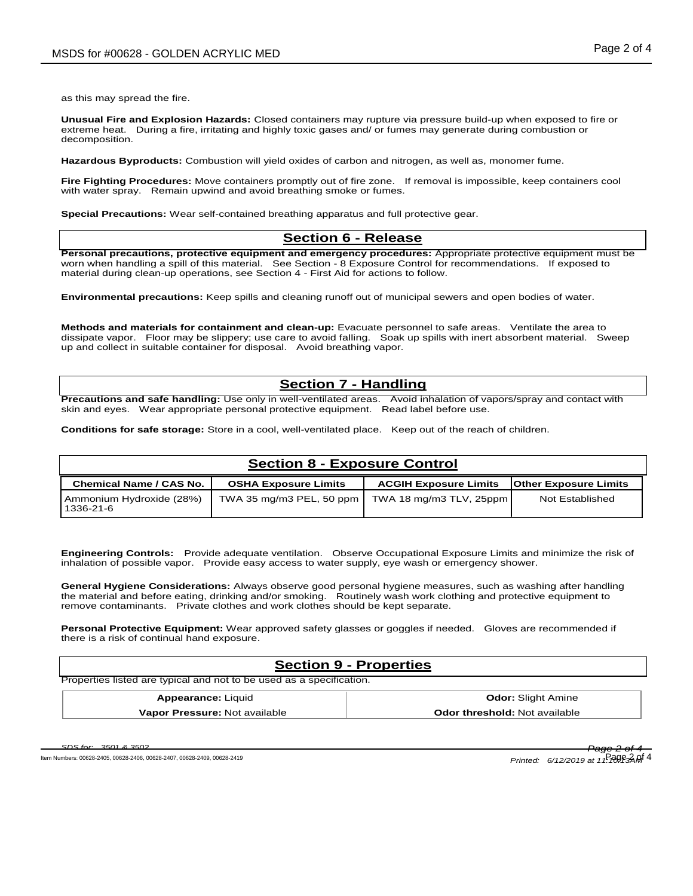as this may spread the fire.

**Unusual Fire and Explosion Hazards:** Closed containers may rupture via pressure build-up when exposed to fire or extreme heat. During a fire, irritating and highly toxic gases and/ or fumes may generate during combustion or decomposition.

**Hazardous Byproducts:** Combustion will yield oxides of carbon and nitrogen, as well as, monomer fume.

**Fire Fighting Procedures:** Move containers promptly out of fire zone. If removal is impossible, keep containers cool with water spray. Remain upwind and avoid breathing smoke or fumes.

**Special Precautions:** Wear self-contained breathing apparatus and full protective gear.

#### **Section 6 - Release**

**Personal precautions, protective equipment and emergency procedures:** Appropriate protective equipment must be worn when handling a spill of this material. See Section - 8 Exposure Control for recommendations. If exposed to material during clean-up operations, see Section 4 - First Aid for actions to follow.

**Environmental precautions:** Keep spills and cleaning runoff out of municipal sewers and open bodies of water.

**Methods and materials for containment and clean-up:** Evacuate personnel to safe areas. Ventilate the area to dissipate vapor. Floor may be slippery; use care to avoid falling. Soak up spills with inert absorbent material. Sweep up and collect in suitable container for disposal. Avoid breathing vapor.

#### **Section 7 - Handling**

**Precautions and safe handling:** Use only in well-ventilated areas. Avoid inhalation of vapors/spray and contact with skin and eyes. Wear appropriate personal protective equipment. Read label before use.

**Conditions for safe storage:** Store in a cool, well-ventilated place. Keep out of the reach of children.

### **Section 8 - Exposure Control**

| <b>Chemical Name / CAS No.</b>          | <b>OSHA Exposure Limits</b> | <b>ACGIH Exposure Limits</b> | <b>Other Exposure Limits</b> |
|-----------------------------------------|-----------------------------|------------------------------|------------------------------|
| Ammonium Hydroxide (28%)<br>l 1336-21-6 | TWA 35 mg/m3 PEL, 50 ppm    | TWA 18 mg/m3 TLV, 25ppm      | Not Established              |

**Engineering Controls:** Provide adequate ventilation. Observe Occupational Exposure Limits and minimize the risk of inhalation of possible vapor. Provide easy access to water supply, eye wash or emergency shower.

**General Hygiene Considerations:** Always observe good personal hygiene measures, such as washing after handling the material and before eating, drinking and/or smoking. Routinely wash work clothing and protective equipment to remove contaminants. Private clothes and work clothes should be kept separate.

**Personal Protective Equipment:** Wear approved safety glasses or goggles if needed. Gloves are recommended if there is a risk of continual hand exposure.

#### **Section 9 - Properties**

Properties listed are typical and not to be used as a specification.

| <b>Appearance: Liquid</b>     | <b>Odor:</b> Slight Amine            |
|-------------------------------|--------------------------------------|
| Vapor Pressure: Not available | <b>Odor threshold: Not available</b> |

Item Numbers: 00628-2405, 00628-2406, 00628-2407, 00628-2409, 00628-2419 *Printed: 6/12/2019 at 11:10:1*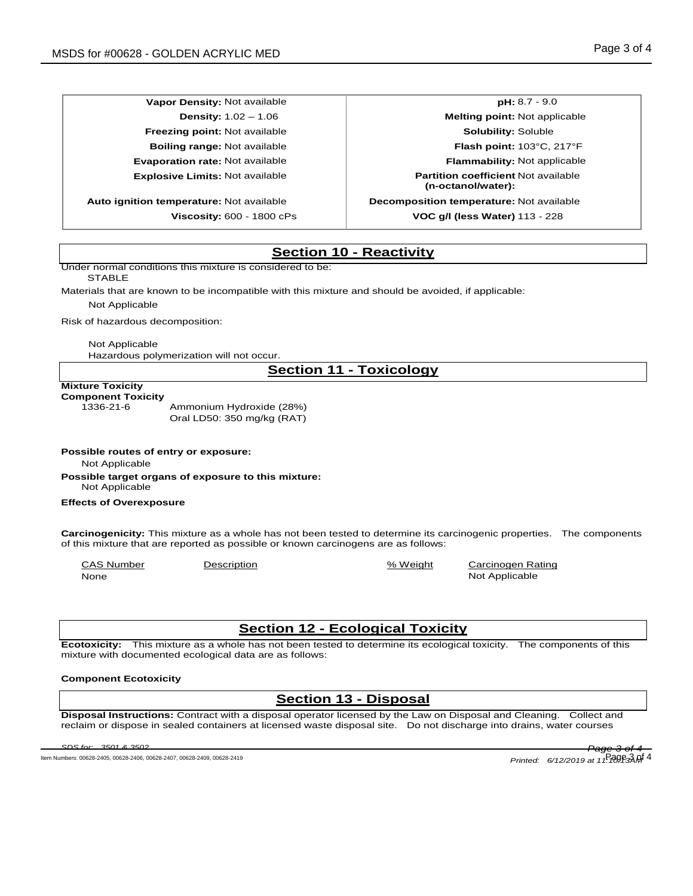**Auto ignition temperature:** Not available **Decomposition temperature:** Not available

**Vapor Density:** Not available **pH:** 8.7 - 9.0 **Density:** 1.02 – 1.06 **Melting point:** Not applicable **Freezing point:** Not available **Solubility:** Soluble **Boiling range:** Not available **Flash point:** 103°C, 217°F **Evaporation rate:** Not available **Flammability:** Not applicable **Explosive Limits:** Not available **Partition coefficient** Not available **(n-octanol/water): Viscosity:** 600 - 1800 cPs **VOC g/l (less Water)** 113 - 228

### **Section 10 - Reactivity**

Under normal conditions this mixture is considered to be:

**STABLE** 

Materials that are known to be incompatible with this mixture and should be avoided, if applicable:

Not Applicable

Risk of hazardous decomposition:

Not Applicable

Hazardous polymerization will not occur.

### **Section 11 - Toxicology**

#### **Mixture Toxicity**

**Component Toxicity**

1336-21-6 Ammonium Hydroxide (28%) Oral LD50: 350 mg/kg (RAT)

**Possible routes of entry or exposure:**

Not Applicable

**Possible target organs of exposure to this mixture:** Not Applicable

#### **Effects of Overexposure**

**Carcinogenicity:** This mixture as a whole has not been tested to determine its carcinogenic properties. The components of this mixture that are reported as possible or known carcinogens are as follows:

CAS Number Description % Weight Carcinogen Rating None Note Applicable Note Applicable Not Applicable Not Applicable Not Applicable

## **Section 12 - Ecological Toxicity**

**Ecotoxicity:** This mixture as a whole has not been tested to determine its ecological toxicity. The components of this mixture with documented ecological data are as follows:

#### **Component Ecotoxicity**

# **Section 13 - Disposal**

**Disposal Instructions:** Contract with a disposal operator licensed by the Law on Disposal and Cleaning. Collect and reclaim or dispose in sealed containers at licensed waste disposal site. Do not discharge into drains, water courses

Item Numbers: 00628-2405, 00628-2406, 00628-2407, 00628-2409, 00628-2419 *Printed: 6/12/2019 at 11:10:1*

*SDS for: 3501 & 3502 Page 3 of 4* Page 3 of 4 *3AM*